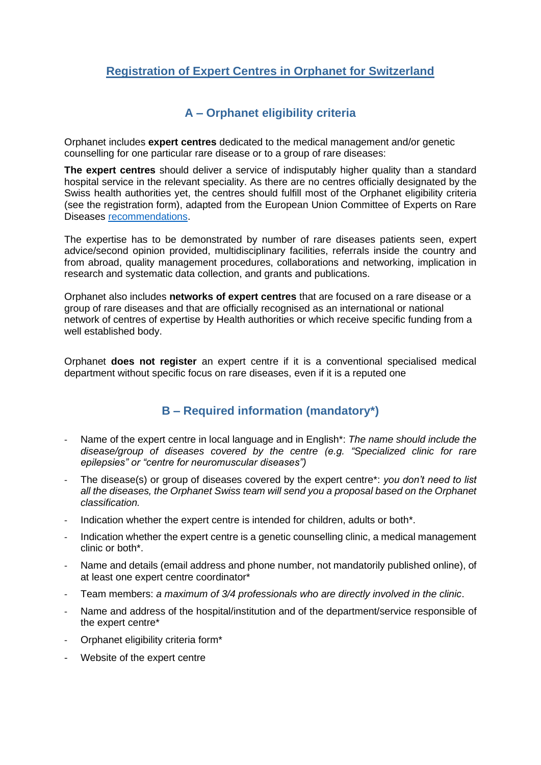# **Registration of Expert Centres in Orphanet for Switzerland**

#### **A – Orphanet eligibility criteria**

Orphanet includes **expert centres** dedicated to the medical management and/or genetic counselling for one particular rare disease or to a group of rare diseases:

**The expert centres** should deliver a service of indisputably higher quality than a standard hospital service in the relevant speciality. As there are no centres officially designated by the Swiss health authorities yet, the centres should fulfill most of the Orphanet eligibility criteria (see the registration form), adapted from the European Union Committee of Experts on Rare Diseases [recommendations.](http://www.eucerd.eu/?post_type=document&p=1224)

The expertise has to be demonstrated by number of rare diseases patients seen, expert advice/second opinion provided, multidisciplinary facilities, referrals inside the country and from abroad, quality management procedures, collaborations and networking, implication in research and systematic data collection, and grants and publications.

Orphanet also includes **networks of expert centres** that are focused on a rare disease or a group of rare diseases and that are officially recognised as an international or national network of centres of expertise by Health authorities or which receive specific funding from a well established body.

Orphanet **does not register** an expert centre if it is a conventional specialised medical department without specific focus on rare diseases, even if it is a reputed one

## **B – Required information (mandatory\*)**

- Name of the expert centre in local language and in English\*: *The name should include the disease/group of diseases covered by the centre (e.g. "Specialized clinic for rare epilepsies" or "centre for neuromuscular diseases")*
- The disease(s) or group of diseases covered by the expert centre\*: *you don't need to list all the diseases, the Orphanet Swiss team will send you a proposal based on the Orphanet classification.*
- Indication whether the expert centre is intended for children, adults or both\*.
- Indication whether the expert centre is a genetic counselling clinic, a medical management clinic or both\*.
- Name and details (email address and phone number, not mandatorily published online), of at least one expert centre coordinator\*
- Team members: *a maximum of 3/4 professionals who are directly involved in the clinic*.
- Name and address of the hospital/institution and of the department/service responsible of the expert centre\*
- Orphanet eligibility criteria form<sup>\*</sup>
- Website of the expert centre